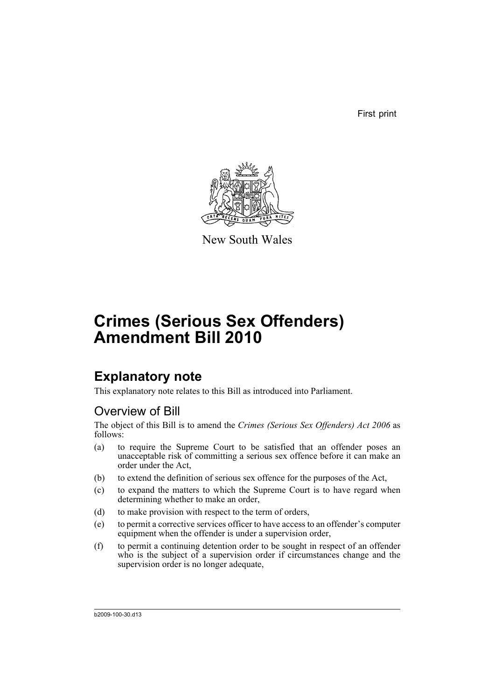First print



New South Wales

# **Crimes (Serious Sex Offenders) Amendment Bill 2010**

## **Explanatory note**

This explanatory note relates to this Bill as introduced into Parliament.

### Overview of Bill

The object of this Bill is to amend the *Crimes (Serious Sex Offenders) Act 2006* as follows:

- (a) to require the Supreme Court to be satisfied that an offender poses an unacceptable risk of committing a serious sex offence before it can make an order under the Act,
- (b) to extend the definition of serious sex offence for the purposes of the Act,
- (c) to expand the matters to which the Supreme Court is to have regard when determining whether to make an order,
- (d) to make provision with respect to the term of orders,
- (e) to permit a corrective services officer to have access to an offender's computer equipment when the offender is under a supervision order,
- (f) to permit a continuing detention order to be sought in respect of an offender who is the subject of a supervision order if circumstances change and the supervision order is no longer adequate,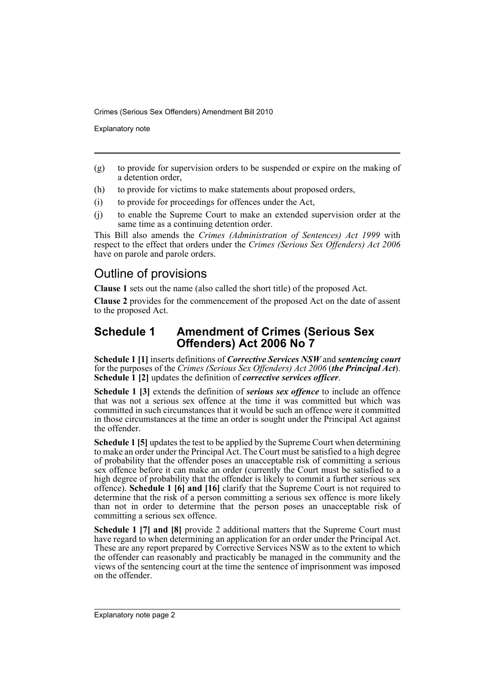Explanatory note

- (g) to provide for supervision orders to be suspended or expire on the making of a detention order,
- (h) to provide for victims to make statements about proposed orders,
- (i) to provide for proceedings for offences under the Act,
- (j) to enable the Supreme Court to make an extended supervision order at the same time as a continuing detention order.

This Bill also amends the *Crimes (Administration of Sentences) Act 1999* with respect to the effect that orders under the *Crimes (Serious Sex Offenders) Act 2006* have on parole and parole orders.

### Outline of provisions

**Clause 1** sets out the name (also called the short title) of the proposed Act.

**Clause 2** provides for the commencement of the proposed Act on the date of assent to the proposed Act.

#### **Schedule 1 Amendment of Crimes (Serious Sex Offenders) Act 2006 No 7**

**Schedule 1 [1]** inserts definitions of *Corrective Services NSW* and *sentencing court* for the purposes of the *Crimes (Serious Sex Offenders) Act 2006* (*the Principal Act*). **Schedule 1 [2]** updates the definition of *corrective services officer*.

**Schedule 1 [3]** extends the definition of *serious sex offence* to include an offence that was not a serious sex offence at the time it was committed but which was committed in such circumstances that it would be such an offence were it committed in those circumstances at the time an order is sought under the Principal Act against the offender.

**Schedule 1 [5]** updates the test to be applied by the Supreme Court when determining to make an order under the Principal Act. The Court must be satisfied to a high degree of probability that the offender poses an unacceptable risk of committing a serious sex offence before it can make an order (currently the Court must be satisfied to a high degree of probability that the offender is likely to commit a further serious sex offence). **Schedule 1 [6] and [16]** clarify that the Supreme Court is not required to determine that the risk of a person committing a serious sex offence is more likely than not in order to determine that the person poses an unacceptable risk of committing a serious sex offence.

**Schedule 1 [7] and [8]** provide 2 additional matters that the Supreme Court must have regard to when determining an application for an order under the Principal Act. These are any report prepared by Corrective Services NSW as to the extent to which the offender can reasonably and practicably be managed in the community and the views of the sentencing court at the time the sentence of imprisonment was imposed on the offender.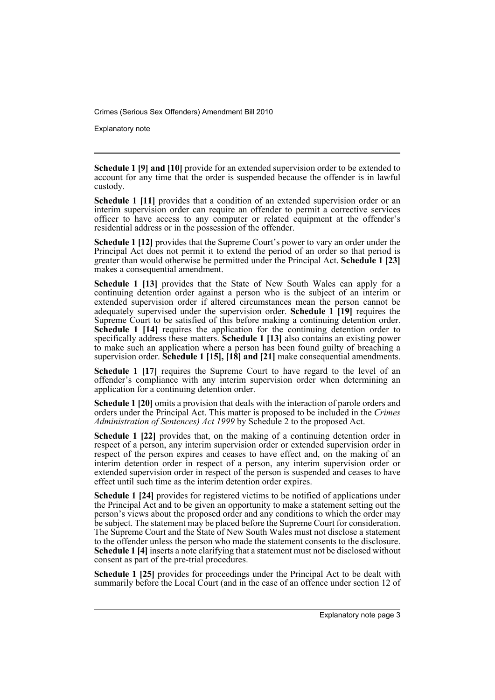Explanatory note

**Schedule 1 [9] and [10]** provide for an extended supervision order to be extended to account for any time that the order is suspended because the offender is in lawful custody.

**Schedule 1 [11]** provides that a condition of an extended supervision order or an interim supervision order can require an offender to permit a corrective services officer to have access to any computer or related equipment at the offender's residential address or in the possession of the offender.

**Schedule 1 [12]** provides that the Supreme Court's power to vary an order under the Principal Act does not permit it to extend the period of an order so that period is greater than would otherwise be permitted under the Principal Act. **Schedule 1 [23]** makes a consequential amendment.

**Schedule 1 [13]** provides that the State of New South Wales can apply for a continuing detention order against a person who is the subject of an interim or extended supervision order if altered circumstances mean the person cannot be adequately supervised under the supervision order. **Schedule 1 [19]** requires the Supreme Court to be satisfied of this before making a continuing detention order. **Schedule 1 [14]** requires the application for the continuing detention order to specifically address these matters. **Schedule 1 [13]** also contains an existing power to make such an application where a person has been found guilty of breaching a supervision order. **Schedule 1 [15], [18] and [21]** make consequential amendments.

**Schedule 1 [17]** requires the Supreme Court to have regard to the level of an offender's compliance with any interim supervision order when determining an application for a continuing detention order.

**Schedule 1 [20]** omits a provision that deals with the interaction of parole orders and orders under the Principal Act. This matter is proposed to be included in the *Crimes Administration of Sentences) Act 1999* by Schedule 2 to the proposed Act.

**Schedule 1 [22]** provides that, on the making of a continuing detention order in respect of a person, any interim supervision order or extended supervision order in respect of the person expires and ceases to have effect and, on the making of an interim detention order in respect of a person, any interim supervision order or extended supervision order in respect of the person is suspended and ceases to have effect until such time as the interim detention order expires.

**Schedule 1 [24]** provides for registered victims to be notified of applications under the Principal Act and to be given an opportunity to make a statement setting out the person's views about the proposed order and any conditions to which the order may be subject. The statement may be placed before the Supreme Court for consideration. The Supreme Court and the State of New South Wales must not disclose a statement to the offender unless the person who made the statement consents to the disclosure. **Schedule 1 [4]** inserts a note clarifying that a statement must not be disclosed without consent as part of the pre-trial procedures.

**Schedule 1 [25]** provides for proceedings under the Principal Act to be dealt with summarily before the Local Court (and in the case of an offence under section 12 of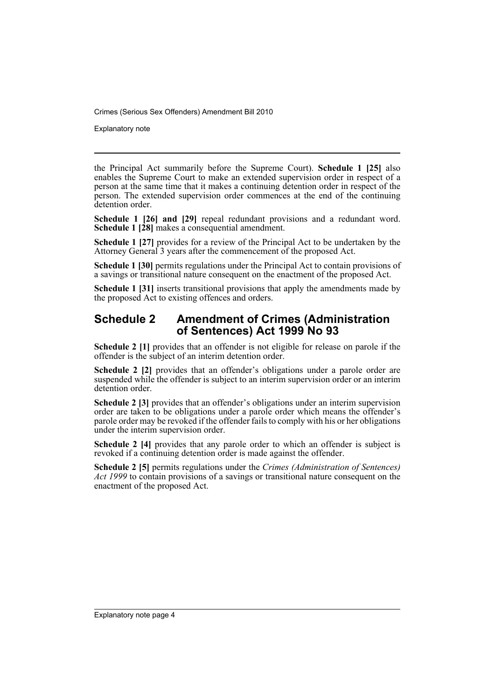Explanatory note

the Principal Act summarily before the Supreme Court). **Schedule 1 [25]** also enables the Supreme Court to make an extended supervision order in respect of a person at the same time that it makes a continuing detention order in respect of the person. The extended supervision order commences at the end of the continuing detention order.

**Schedule 1 [26] and [29]** repeal redundant provisions and a redundant word. **Schedule 1 [28]** makes a consequential amendment.

**Schedule 1 [27]** provides for a review of the Principal Act to be undertaken by the Attorney General 3 years after the commencement of the proposed Act.

**Schedule 1 [30]** permits regulations under the Principal Act to contain provisions of a savings or transitional nature consequent on the enactment of the proposed Act.

**Schedule 1 [31]** inserts transitional provisions that apply the amendments made by the proposed Act to existing offences and orders.

#### **Schedule 2 Amendment of Crimes (Administration of Sentences) Act 1999 No 93**

**Schedule 2 [1]** provides that an offender is not eligible for release on parole if the offender is the subject of an interim detention order.

**Schedule 2 [2]** provides that an offender's obligations under a parole order are suspended while the offender is subject to an interim supervision order or an interim detention order.

**Schedule 2 [3]** provides that an offender's obligations under an interim supervision order are taken to be obligations under a parole order which means the offender's parole order may be revoked if the offender fails to comply with his or her obligations under the interim supervision order.

**Schedule 2 [4]** provides that any parole order to which an offender is subject is revoked if a continuing detention order is made against the offender.

**Schedule 2 [5]** permits regulations under the *Crimes (Administration of Sentences) Act 1999* to contain provisions of a savings or transitional nature consequent on the enactment of the proposed Act.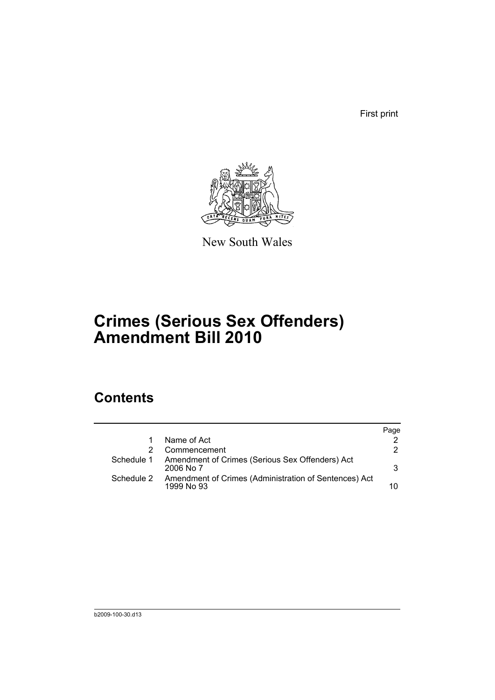First print



New South Wales

# **Crimes (Serious Sex Offenders) Amendment Bill 2010**

## **Contents**

|            |                                                                     | Page |
|------------|---------------------------------------------------------------------|------|
|            | Name of Act                                                         |      |
|            | Commencement                                                        | 2    |
| Schedule 1 | Amendment of Crimes (Serious Sex Offenders) Act<br>$2006$ No $7$    | 3    |
| Schedule 2 | Amendment of Crimes (Administration of Sentences) Act<br>1999 No 93 | 10   |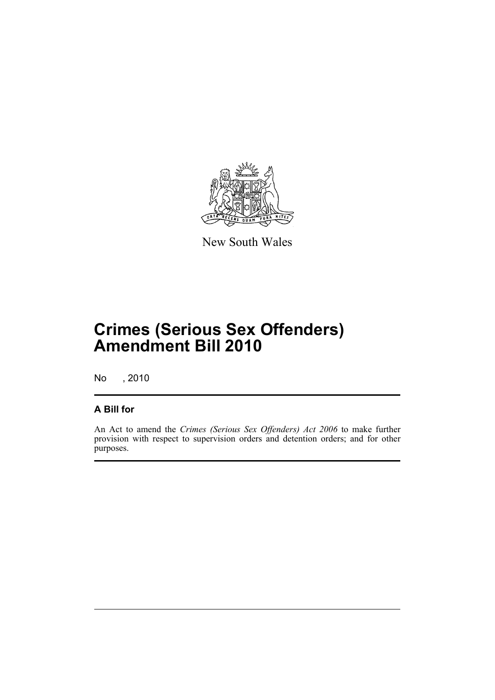

New South Wales

# **Crimes (Serious Sex Offenders) Amendment Bill 2010**

No , 2010

### **A Bill for**

An Act to amend the *Crimes (Serious Sex Offenders) Act 2006* to make further provision with respect to supervision orders and detention orders; and for other purposes.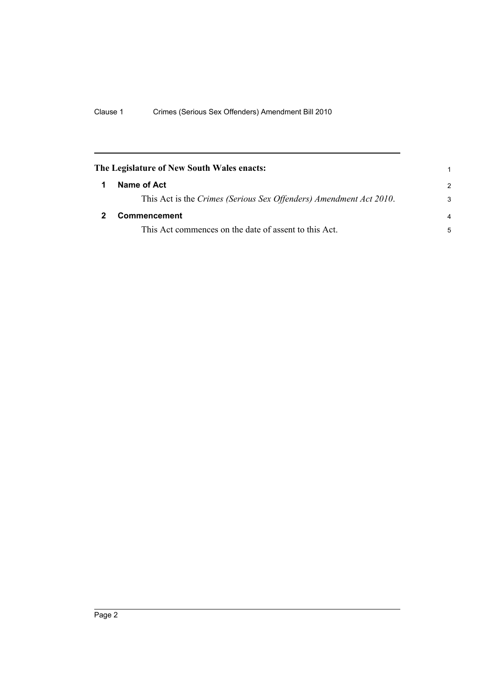<span id="page-7-1"></span><span id="page-7-0"></span>

| The Legislature of New South Wales enacts:                         | 1             |
|--------------------------------------------------------------------|---------------|
| Name of Act                                                        | $\mathcal{P}$ |
| This Act is the Crimes (Serious Sex Offenders) Amendment Act 2010. | 3             |
| Commencement                                                       | 4             |
| This Act commences on the date of assent to this Act.              | 5             |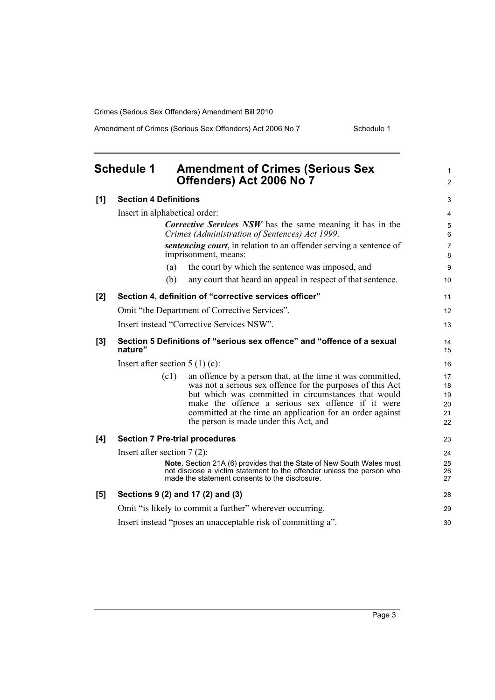Amendment of Crimes (Serious Sex Offenders) Act 2006 No 7 Schedule 1

<span id="page-8-0"></span>

|     | <b>Schedule 1</b><br><b>Amendment of Crimes (Serious Sex</b><br>Offenders) Act 2006 No 7                                                                                                                                                                                                                                                            | 1<br>$\overline{c}$              |
|-----|-----------------------------------------------------------------------------------------------------------------------------------------------------------------------------------------------------------------------------------------------------------------------------------------------------------------------------------------------------|----------------------------------|
| [1] | <b>Section 4 Definitions</b>                                                                                                                                                                                                                                                                                                                        | 3                                |
|     | Insert in alphabetical order:                                                                                                                                                                                                                                                                                                                       | 4                                |
|     | <b>Corrective Services NSW</b> has the same meaning it has in the<br>Crimes (Administration of Sentences) Act 1999.                                                                                                                                                                                                                                 | 5<br>6                           |
|     | <i>sentencing court</i> , in relation to an offender serving a sentence of<br>imprisonment, means:                                                                                                                                                                                                                                                  | 7<br>8                           |
|     | the court by which the sentence was imposed, and<br>(a)                                                                                                                                                                                                                                                                                             | 9                                |
|     | (b)<br>any court that heard an appeal in respect of that sentence.                                                                                                                                                                                                                                                                                  | 10                               |
| [2] | Section 4, definition of "corrective services officer"                                                                                                                                                                                                                                                                                              | 11                               |
|     | Omit "the Department of Corrective Services".                                                                                                                                                                                                                                                                                                       | 12                               |
|     | Insert instead "Corrective Services NSW".                                                                                                                                                                                                                                                                                                           | 13                               |
| [3] | Section 5 Definitions of "serious sex offence" and "offence of a sexual<br>nature"                                                                                                                                                                                                                                                                  | 14<br>15                         |
|     | Insert after section $5(1)(c)$ :                                                                                                                                                                                                                                                                                                                    | 16                               |
|     | (c1)<br>an offence by a person that, at the time it was committed,<br>was not a serious sex offence for the purposes of this Act<br>but which was committed in circumstances that would<br>make the offence a serious sex offence if it were<br>committed at the time an application for an order against<br>the person is made under this Act, and | 17<br>18<br>19<br>20<br>21<br>22 |
| [4] | <b>Section 7 Pre-trial procedures</b>                                                                                                                                                                                                                                                                                                               | 23                               |
|     | Insert after section $7(2)$ :<br>Note. Section 21A (6) provides that the State of New South Wales must<br>not disclose a victim statement to the offender unless the person who<br>made the statement consents to the disclosure.                                                                                                                   | 24<br>25<br>26<br>27             |
| [5] | Sections 9 (2) and 17 (2) and (3)                                                                                                                                                                                                                                                                                                                   | 28                               |
|     | Omit "is likely to commit a further" wherever occurring.                                                                                                                                                                                                                                                                                            | 29                               |
|     | Insert instead "poses an unacceptable risk of committing a".                                                                                                                                                                                                                                                                                        | 30                               |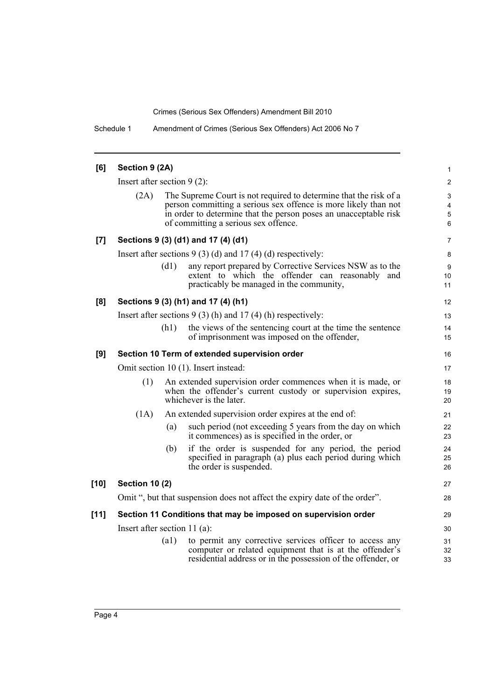Schedule 1 Amendment of Crimes (Serious Sex Offenders) Act 2006 No 7

| [6]    | Section 9 (2A)                                                                                                                                               |      |                                                                                                                                                                                                                                                  |                             |  |
|--------|--------------------------------------------------------------------------------------------------------------------------------------------------------------|------|--------------------------------------------------------------------------------------------------------------------------------------------------------------------------------------------------------------------------------------------------|-----------------------------|--|
|        | Insert after section $9(2)$ :                                                                                                                                |      |                                                                                                                                                                                                                                                  | $\overline{c}$              |  |
|        | (2A)                                                                                                                                                         |      | The Supreme Court is not required to determine that the risk of a<br>person committing a serious sex offence is more likely than not<br>in order to determine that the person poses an unacceptable risk<br>of committing a serious sex offence. | $\mathbf{3}$<br>4<br>5<br>6 |  |
| [7]    |                                                                                                                                                              |      | Sections 9 (3) (d1) and 17 (4) (d1)                                                                                                                                                                                                              | 7                           |  |
|        | Insert after sections $9(3)(d)$ and $17(4)(d)$ respectively:                                                                                                 |      |                                                                                                                                                                                                                                                  | 8                           |  |
|        |                                                                                                                                                              | (d1) | any report prepared by Corrective Services NSW as to the<br>extent to which the offender can reasonably and<br>practicably be managed in the community,                                                                                          | 9<br>10<br>11               |  |
| [8]    |                                                                                                                                                              |      | Sections 9 (3) (h1) and 17 (4) (h1)                                                                                                                                                                                                              | 12                          |  |
|        | Insert after sections $9(3)$ (h) and $17(4)$ (h) respectively:                                                                                               |      |                                                                                                                                                                                                                                                  |                             |  |
|        |                                                                                                                                                              | (h1) | the views of the sentencing court at the time the sentence<br>of imprisonment was imposed on the offender,                                                                                                                                       | 14<br>15                    |  |
| [9]    |                                                                                                                                                              |      | Section 10 Term of extended supervision order                                                                                                                                                                                                    | 16                          |  |
|        | Omit section 10 (1). Insert instead:                                                                                                                         |      |                                                                                                                                                                                                                                                  | 17                          |  |
|        | An extended supervision order commences when it is made, or<br>(1)<br>when the offender's current custody or supervision expires,<br>whichever is the later. |      |                                                                                                                                                                                                                                                  | 18<br>19<br>20              |  |
|        | (1A)                                                                                                                                                         |      | An extended supervision order expires at the end of:                                                                                                                                                                                             | 21                          |  |
|        |                                                                                                                                                              | (a)  | such period (not exceeding 5 years from the day on which<br>it commences) as is specified in the order, or                                                                                                                                       | 22<br>23                    |  |
|        |                                                                                                                                                              | (b)  | if the order is suspended for any period, the period<br>specified in paragraph (a) plus each period during which<br>the order is suspended.                                                                                                      | 24<br>25<br>26              |  |
| $[10]$ | <b>Section 10 (2)</b>                                                                                                                                        |      |                                                                                                                                                                                                                                                  | 27                          |  |
|        |                                                                                                                                                              |      | Omit ", but that suspension does not affect the expiry date of the order".                                                                                                                                                                       | 28                          |  |
| $[11]$ |                                                                                                                                                              |      | Section 11 Conditions that may be imposed on supervision order                                                                                                                                                                                   | 29                          |  |
|        | Insert after section $11$ (a):                                                                                                                               |      |                                                                                                                                                                                                                                                  | 30                          |  |
|        |                                                                                                                                                              | (a1) | to permit any corrective services officer to access any<br>computer or related equipment that is at the offender's<br>residential address or in the possession of the offender, or                                                               | 31<br>32<br>33              |  |
|        |                                                                                                                                                              |      |                                                                                                                                                                                                                                                  |                             |  |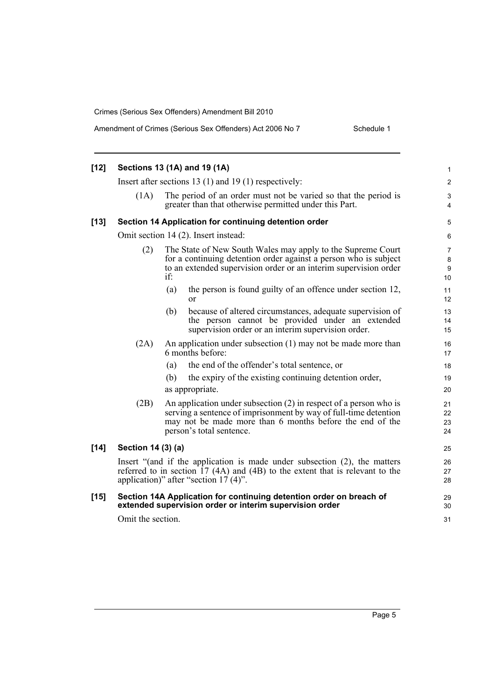| $[12]$ | Sections 13 (1A) and 19 (1A)                                                                                                                                                                                      |                                                                                                                                                                                                                               |                      |  |  |
|--------|-------------------------------------------------------------------------------------------------------------------------------------------------------------------------------------------------------------------|-------------------------------------------------------------------------------------------------------------------------------------------------------------------------------------------------------------------------------|----------------------|--|--|
|        |                                                                                                                                                                                                                   | Insert after sections 13 (1) and 19 (1) respectively:                                                                                                                                                                         | $\overline{2}$       |  |  |
|        | The period of an order must not be varied so that the period is<br>(1A)<br>greater than that otherwise permitted under this Part.                                                                                 |                                                                                                                                                                                                                               |                      |  |  |
| $[13]$ |                                                                                                                                                                                                                   | Section 14 Application for continuing detention order                                                                                                                                                                         | 5                    |  |  |
|        | Omit section 14 (2). Insert instead:                                                                                                                                                                              |                                                                                                                                                                                                                               |                      |  |  |
|        | (2)                                                                                                                                                                                                               | The State of New South Wales may apply to the Supreme Court<br>for a continuing detention order against a person who is subject<br>to an extended supervision order or an interim supervision order<br>if:                    |                      |  |  |
|        |                                                                                                                                                                                                                   | the person is found guilty of an offence under section 12,<br>(a)<br>$\alpha$                                                                                                                                                 | 11<br>12             |  |  |
|        |                                                                                                                                                                                                                   | (b)<br>because of altered circumstances, adequate supervision of<br>the person cannot be provided under an extended<br>supervision order or an interim supervision order.                                                     | 13<br>14<br>15       |  |  |
|        | (2A)                                                                                                                                                                                                              | An application under subsection (1) may not be made more than<br>6 months before:                                                                                                                                             | 16<br>17             |  |  |
|        |                                                                                                                                                                                                                   | the end of the offender's total sentence, or<br>(a)                                                                                                                                                                           | 18                   |  |  |
|        |                                                                                                                                                                                                                   | the expiry of the existing continuing detention order,<br>(b)                                                                                                                                                                 | 19                   |  |  |
|        |                                                                                                                                                                                                                   | as appropriate.                                                                                                                                                                                                               | 20                   |  |  |
|        | (2B)                                                                                                                                                                                                              | An application under subsection (2) in respect of a person who is<br>serving a sentence of imprisonment by way of full-time detention<br>may not be made more than 6 months before the end of the<br>person's total sentence. | 21<br>22<br>23<br>24 |  |  |
| $[14]$ | Section 14 (3) (a)                                                                                                                                                                                                |                                                                                                                                                                                                                               |                      |  |  |
|        | Insert "(and if the application is made under subsection (2), the matters<br>referred to in section $17 \text{ (4A)}$ and $(4B)$ to the extent that is relevant to the<br>application)" after "section $17(4)$ ". |                                                                                                                                                                                                                               | 26<br>27<br>28       |  |  |
| $[15]$ |                                                                                                                                                                                                                   | Section 14A Application for continuing detention order on breach of<br>extended supervision order or interim supervision order                                                                                                | 29<br>30             |  |  |
|        | Omit the section.                                                                                                                                                                                                 |                                                                                                                                                                                                                               |                      |  |  |
|        |                                                                                                                                                                                                                   |                                                                                                                                                                                                                               |                      |  |  |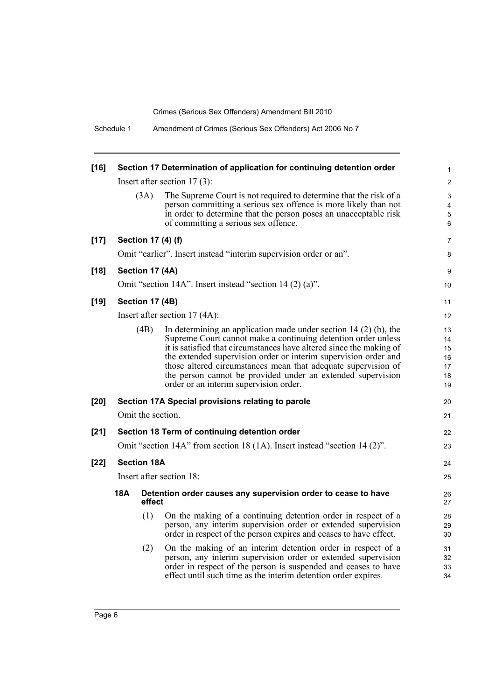| $[16]$ |     |                    | Section 17 Determination of application for continuing detention order                                                                                                                                                                                                                                                                                                                                                                                  | 1                                                |
|--------|-----|--------------------|---------------------------------------------------------------------------------------------------------------------------------------------------------------------------------------------------------------------------------------------------------------------------------------------------------------------------------------------------------------------------------------------------------------------------------------------------------|--------------------------------------------------|
|        |     |                    | Insert after section $17(3)$ :                                                                                                                                                                                                                                                                                                                                                                                                                          | $\overline{c}$                                   |
|        |     | (3A)               | The Supreme Court is not required to determine that the risk of a<br>person committing a serious sex offence is more likely than not<br>in order to determine that the person poses an unacceptable risk<br>of committing a serious sex offence.                                                                                                                                                                                                        | 3<br>$\overline{\mathbf{4}}$<br>$\mathbf 5$<br>6 |
| $[17]$ |     |                    | Section 17 (4) (f)                                                                                                                                                                                                                                                                                                                                                                                                                                      | 7                                                |
|        |     |                    | Omit "earlier". Insert instead "interim supervision order or an".                                                                                                                                                                                                                                                                                                                                                                                       | 8                                                |
| $[18]$ |     | Section 17 (4A)    |                                                                                                                                                                                                                                                                                                                                                                                                                                                         | 9                                                |
|        |     |                    | Omit "section 14A". Insert instead "section 14 (2) (a)".                                                                                                                                                                                                                                                                                                                                                                                                | 10                                               |
| $[19]$ |     | Section 17 (4B)    |                                                                                                                                                                                                                                                                                                                                                                                                                                                         | 11                                               |
|        |     |                    | Insert after section $17(4A)$ :                                                                                                                                                                                                                                                                                                                                                                                                                         | 12                                               |
|        |     | (4B)               | In determining an application made under section 14 $(2)$ (b), the<br>Supreme Court cannot make a continuing detention order unless<br>it is satisfied that circumstances have altered since the making of<br>the extended supervision order or interim supervision order and<br>those altered circumstances mean that adequate supervision of<br>the person cannot be provided under an extended supervision<br>order or an interim supervision order. | 13<br>14<br>15<br>16<br>17<br>18<br>19           |
| $[20]$ |     |                    | Section 17A Special provisions relating to parole                                                                                                                                                                                                                                                                                                                                                                                                       | 20                                               |
|        |     |                    | Omit the section.                                                                                                                                                                                                                                                                                                                                                                                                                                       | 21                                               |
| $[21]$ |     |                    | Section 18 Term of continuing detention order                                                                                                                                                                                                                                                                                                                                                                                                           | 22                                               |
|        |     |                    | Omit "section 14A" from section 18 (1A). Insert instead "section 14 (2)".                                                                                                                                                                                                                                                                                                                                                                               | 23                                               |
| $[22]$ |     | <b>Section 18A</b> |                                                                                                                                                                                                                                                                                                                                                                                                                                                         | 24                                               |
|        |     |                    | Insert after section 18:                                                                                                                                                                                                                                                                                                                                                                                                                                | 25                                               |
|        | 18A | effect             | Detention order causes any supervision order to cease to have                                                                                                                                                                                                                                                                                                                                                                                           | 26<br>27                                         |
|        |     | (1)                | On the making of a continuing detention order in respect of a<br>person, any interim supervision order or extended supervision<br>order in respect of the person expires and ceases to have effect.                                                                                                                                                                                                                                                     | 28<br>29<br>30                                   |
|        |     | (2)                | On the making of an interim detention order in respect of a<br>person, any interim supervision order or extended supervision<br>order in respect of the person is suspended and ceases to have<br>effect until such time as the interim detention order expires.                                                                                                                                                                                        | 31<br>32<br>33<br>34                             |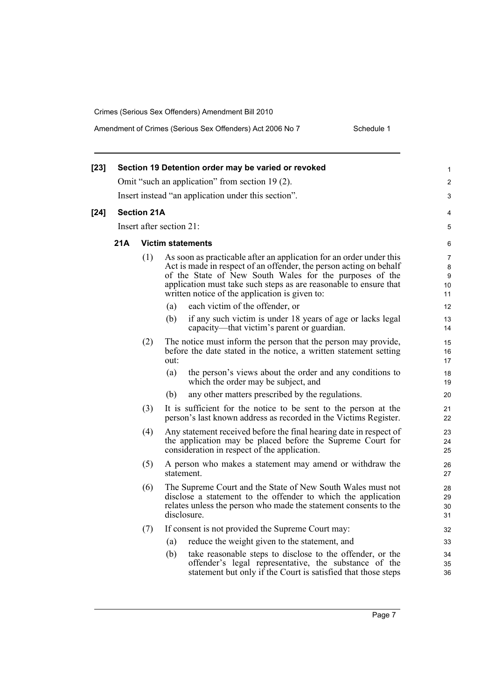Amendment of Crimes (Serious Sex Offenders) Act 2006 No 7 Schedule 1

| $[23]$ |                                                     |                          |                                                                                                                                                                                                                                                                                                                             | 1                       |  |  |
|--------|-----------------------------------------------------|--------------------------|-----------------------------------------------------------------------------------------------------------------------------------------------------------------------------------------------------------------------------------------------------------------------------------------------------------------------------|-------------------------|--|--|
|        | Section 19 Detention order may be varied or revoked |                          |                                                                                                                                                                                                                                                                                                                             |                         |  |  |
|        | Omit "such an application" from section 19 (2).     |                          |                                                                                                                                                                                                                                                                                                                             |                         |  |  |
|        | Insert instead "an application under this section". |                          |                                                                                                                                                                                                                                                                                                                             |                         |  |  |
| $[24]$ |                                                     | <b>Section 21A</b>       |                                                                                                                                                                                                                                                                                                                             |                         |  |  |
|        |                                                     | Insert after section 21: |                                                                                                                                                                                                                                                                                                                             |                         |  |  |
|        | 21A                                                 |                          | <b>Victim statements</b>                                                                                                                                                                                                                                                                                                    | 6                       |  |  |
|        |                                                     | (1)                      | As soon as practicable after an application for an order under this<br>Act is made in respect of an offender, the person acting on behalf<br>of the State of New South Wales for the purposes of the<br>application must take such steps as are reasonable to ensure that<br>written notice of the application is given to: | 7<br>8<br>9<br>10<br>11 |  |  |
|        |                                                     |                          | each victim of the offender, or<br>(a)                                                                                                                                                                                                                                                                                      | 12                      |  |  |
|        |                                                     |                          | (b)<br>if any such victim is under 18 years of age or lacks legal<br>capacity—that victim's parent or guardian.                                                                                                                                                                                                             | 13<br>14                |  |  |
|        |                                                     | (2)                      | The notice must inform the person that the person may provide,<br>before the date stated in the notice, a written statement setting<br>out:                                                                                                                                                                                 | 15<br>16<br>17          |  |  |
|        |                                                     |                          | (a)<br>the person's views about the order and any conditions to<br>which the order may be subject, and                                                                                                                                                                                                                      | 18<br>19                |  |  |
|        |                                                     |                          | (b)<br>any other matters prescribed by the regulations.                                                                                                                                                                                                                                                                     | 20                      |  |  |
|        |                                                     | (3)                      | It is sufficient for the notice to be sent to the person at the<br>person's last known address as recorded in the Victims Register.                                                                                                                                                                                         | 21<br>22                |  |  |
|        |                                                     | (4)                      | Any statement received before the final hearing date in respect of<br>the application may be placed before the Supreme Court for<br>consideration in respect of the application.                                                                                                                                            | 23<br>24<br>25          |  |  |
|        |                                                     | (5)                      | A person who makes a statement may amend or withdraw the<br>statement.                                                                                                                                                                                                                                                      | 26<br>27                |  |  |
|        |                                                     | (6)                      | The Supreme Court and the State of New South Wales must not<br>disclose a statement to the offender to which the application<br>relates unless the person who made the statement consents to the<br>disclosure.                                                                                                             | 28<br>29<br>30<br>31    |  |  |
|        |                                                     | (7)                      | If consent is not provided the Supreme Court may:                                                                                                                                                                                                                                                                           | 32                      |  |  |
|        |                                                     |                          | reduce the weight given to the statement, and<br>(a)                                                                                                                                                                                                                                                                        | 33                      |  |  |
|        |                                                     |                          | (b)<br>take reasonable steps to disclose to the offender, or the<br>offender's legal representative, the substance of the<br>statement but only if the Court is satisfied that those steps                                                                                                                                  | 34<br>35<br>36          |  |  |
|        |                                                     |                          |                                                                                                                                                                                                                                                                                                                             |                         |  |  |

Page 7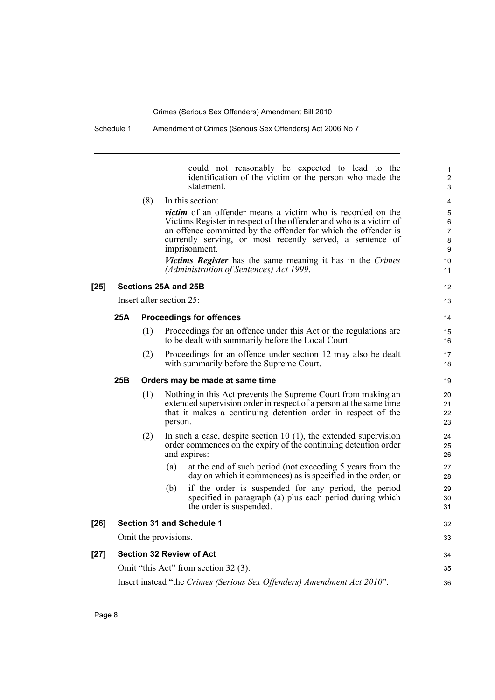|        |     |     | could not reasonably be expected to lead to the<br>identification of the victim or the person who made the<br>statement.                                                                                                                                                                                                                                      | 1<br>$\overline{c}$<br>3    |
|--------|-----|-----|---------------------------------------------------------------------------------------------------------------------------------------------------------------------------------------------------------------------------------------------------------------------------------------------------------------------------------------------------------------|-----------------------------|
|        |     | (8) | In this section:                                                                                                                                                                                                                                                                                                                                              | 4                           |
|        |     |     | <i>victim</i> of an offender means a victim who is recorded on the<br>Victims Register in respect of the offender and who is a victim of<br>an offence committed by the offender for which the offender is<br>currently serving, or most recently served, a sentence of<br>imprisonment.<br><i>Victims Register</i> has the same meaning it has in the Crimes | 5<br>6<br>7<br>8<br>9<br>10 |
|        |     |     | (Administration of Sentences) Act 1999.                                                                                                                                                                                                                                                                                                                       | 11                          |
| $[25]$ |     |     | Sections 25A and 25B                                                                                                                                                                                                                                                                                                                                          | 12                          |
|        |     |     | Insert after section 25:                                                                                                                                                                                                                                                                                                                                      | 13                          |
|        | 25A |     | <b>Proceedings for offences</b>                                                                                                                                                                                                                                                                                                                               | 14                          |
|        |     | (1) | Proceedings for an offence under this Act or the regulations are<br>to be dealt with summarily before the Local Court.                                                                                                                                                                                                                                        | 15<br>16                    |
|        |     | (2) | Proceedings for an offence under section 12 may also be dealt<br>with summarily before the Supreme Court.                                                                                                                                                                                                                                                     | 17<br>18                    |
|        | 25B |     | Orders may be made at same time                                                                                                                                                                                                                                                                                                                               | 19                          |
|        |     | (1) | Nothing in this Act prevents the Supreme Court from making an<br>extended supervision order in respect of a person at the same time<br>that it makes a continuing detention order in respect of the<br>person.                                                                                                                                                | 20<br>21<br>22<br>23        |
|        |     | (2) | In such a case, despite section 10 $(1)$ , the extended supervision<br>order commences on the expiry of the continuing detention order<br>and expires:                                                                                                                                                                                                        | 24<br>25<br>26              |
|        |     |     | at the end of such period (not exceeding 5 years from the<br>(a)<br>day on which it commences) as is specified in the order, or                                                                                                                                                                                                                               | 27<br>28                    |
|        |     |     | (b)<br>if the order is suspended for any period, the period<br>specified in paragraph (a) plus each period during which<br>the order is suspended.                                                                                                                                                                                                            | 29<br>30<br>31              |
| $[26]$ |     |     | <b>Section 31 and Schedule 1</b>                                                                                                                                                                                                                                                                                                                              | 32                          |
|        |     |     | Omit the provisions.                                                                                                                                                                                                                                                                                                                                          | 33                          |
| $[27]$ |     |     | <b>Section 32 Review of Act</b>                                                                                                                                                                                                                                                                                                                               | 34                          |
|        |     |     | Omit "this Act" from section 32 (3).                                                                                                                                                                                                                                                                                                                          | 35                          |
|        |     |     | Insert instead "the Crimes (Serious Sex Offenders) Amendment Act 2010".                                                                                                                                                                                                                                                                                       | 36                          |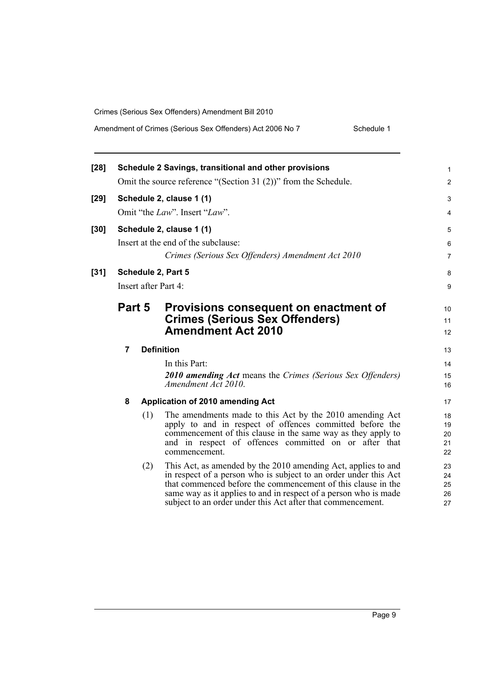#### Amendment of Crimes (Serious Sex Offenders) Act 2006 No 7 Schedule 1

| $[28]$ |                                                                 |     | Schedule 2 Savings, transitional and other provisions                                                                                                                                                                                                                                                                                | 1                          |  |  |
|--------|-----------------------------------------------------------------|-----|--------------------------------------------------------------------------------------------------------------------------------------------------------------------------------------------------------------------------------------------------------------------------------------------------------------------------------------|----------------------------|--|--|
|        | Omit the source reference "(Section 31 (2))" from the Schedule. |     |                                                                                                                                                                                                                                                                                                                                      |                            |  |  |
| [29]   | Schedule 2, clause 1 (1)                                        |     |                                                                                                                                                                                                                                                                                                                                      |                            |  |  |
|        |                                                                 |     | Omit "the Law". Insert "Law".                                                                                                                                                                                                                                                                                                        | 4                          |  |  |
| $[30]$ | Schedule 2, clause 1 (1)                                        |     |                                                                                                                                                                                                                                                                                                                                      | 5                          |  |  |
|        |                                                                 |     | Insert at the end of the subclause:                                                                                                                                                                                                                                                                                                  | 6                          |  |  |
|        |                                                                 |     | Crimes (Serious Sex Offenders) Amendment Act 2010                                                                                                                                                                                                                                                                                    | $\overline{7}$             |  |  |
| $[31]$ |                                                                 |     | Schedule 2, Part 5                                                                                                                                                                                                                                                                                                                   | 8                          |  |  |
|        |                                                                 |     | Insert after Part 4:                                                                                                                                                                                                                                                                                                                 | 9                          |  |  |
|        | Part 5                                                          |     | Provisions consequent on enactment of                                                                                                                                                                                                                                                                                                | 10                         |  |  |
|        |                                                                 |     | <b>Crimes (Serious Sex Offenders)</b>                                                                                                                                                                                                                                                                                                | 11                         |  |  |
|        |                                                                 |     | <b>Amendment Act 2010</b>                                                                                                                                                                                                                                                                                                            | 12                         |  |  |
|        | $\overline{7}$                                                  |     | <b>Definition</b>                                                                                                                                                                                                                                                                                                                    | 13                         |  |  |
|        |                                                                 |     | In this Part:                                                                                                                                                                                                                                                                                                                        | 14                         |  |  |
|        |                                                                 |     | <b>2010 amending Act means the Crimes (Serious Sex Offenders)</b><br>Amendment Act 2010.                                                                                                                                                                                                                                             | 15<br>16                   |  |  |
|        | 8                                                               |     | Application of 2010 amending Act                                                                                                                                                                                                                                                                                                     | 17                         |  |  |
|        |                                                                 | (1) | The amendments made to this Act by the 2010 amending Act<br>apply to and in respect of offences committed before the<br>commencement of this clause in the same way as they apply to<br>and in respect of offences committed on or after that<br>commencement.                                                                       | 18<br>19<br>20<br>21<br>22 |  |  |
|        |                                                                 | (2) | This Act, as amended by the 2010 amending Act, applies to and<br>in respect of a person who is subject to an order under this Act<br>that commenced before the commencement of this clause in the<br>same way as it applies to and in respect of a person who is made<br>subject to an order under this Act after that commencement. | 23<br>24<br>25<br>26<br>27 |  |  |